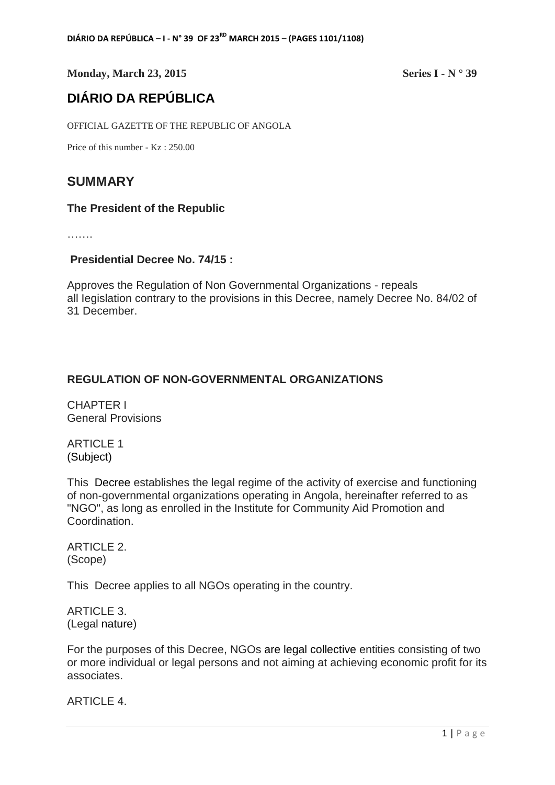**Monday, March 23, 2015** Series I - N ° 39

# **DIÁRIO DA REPÚBLICA**

OFFICIAL GAZETTE OF THE REPUBLIC OF ANGOLA

Price of this number - Kz : 250.00

## **SUMMARY**

#### **The President of the Republic**

………

#### **Presidential Decree No. 74/15 :**

Approves the Regulation of Non Governmental Organizations - repeals all Iegislation contrary to the provisions in this Decree, namely Decree No. 84/02 of 31 December.

### **REGULATION OF NON-GOVERNMENTAL ORGANIZATIONS**

CHAPTER I General Provisions

ARTICLE 1 (Subject)

This Decree establishes the legal regime of the activity of exercise and functioning of non-governmental organizations operating in Angola, hereinafter referred to as "NGO", as long as enrolled in the Institute for Community Aid Promotion and Coordination.

ARTICLE 2. (Scope)

This Decree applies to all NGOs operating in the country.

ARTICLE 3. (Legal nature)

For the purposes of this Decree, NGOs are legal collective entities consisting of two or more individual or legal persons and not aiming at achieving economic profit for its associates.

ARTICLE 4.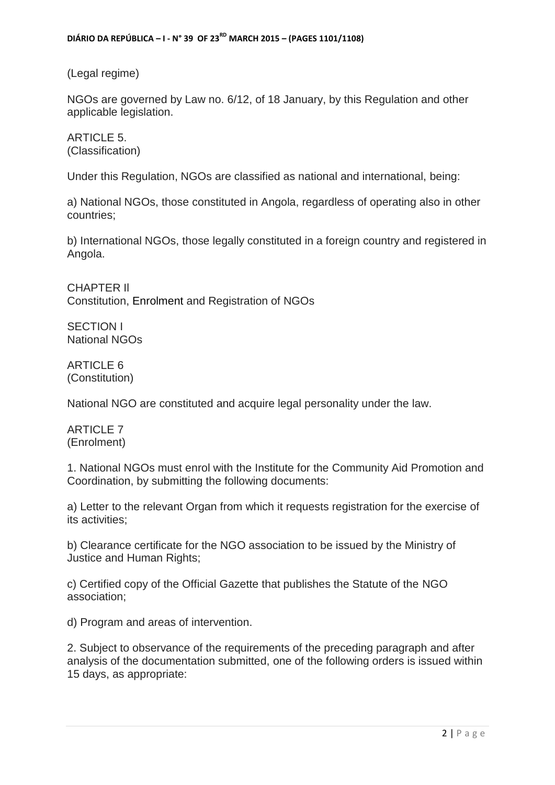(Legal regime)

NGOs are governed by Law no. 6/12, of 18 January, by this Regulation and other applicable legislation.

ARTICLE 5. (Classification)

Under this Regulation, NGOs are classified as national and international, being:

a) National NGOs, those constituted in Angola, regardless of operating also in other countries;

b) International NGOs, those legally constituted in a foreign country and registered in Angola.

CHAPTER Il Constitution, Enrolment and Registration of NGOs

SECTION I National NGOs

ARTICLE 6 (Constitution)

National NGO are constituted and acquire legal personality under the law.

ARTICLE 7 (Enrolment)

1. National NGOs must enrol with the Institute for the Community Aid Promotion and Coordination, by submitting the following documents:

a) Letter to the relevant Organ from which it requests registration for the exercise of its activities;

b) Clearance certificate for the NGO association to be issued by the Ministry of Justice and Human Rights;

c) Certified copy of the Official Gazette that publishes the Statute of the NGO association;

d) Program and areas of intervention.

2. Subject to observance of the requirements of the preceding paragraph and after analysis of the documentation submitted, one of the following orders is issued within 15 days, as appropriate: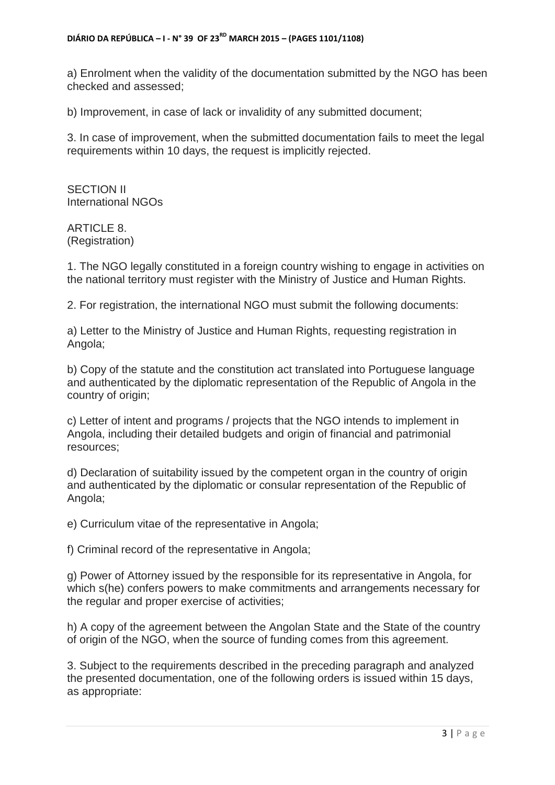a) Enrolment when the validity of the documentation submitted by the NGO has been checked and assessed;

b) Improvement, in case of lack or invalidity of any submitted document;

3. In case of improvement, when the submitted documentation fails to meet the legal requirements within 10 days, the request is implicitly rejected.

SECTION II International NGOs

ARTICLE 8. (Registration)

1. The NGO legally constituted in a foreign country wishing to engage in activities on the national territory must register with the Ministry of Justice and Human Rights.

2. For registration, the international NGO must submit the following documents:

a) Letter to the Ministry of Justice and Human Rights, requesting registration in Angola;

b) Copy of the statute and the constitution act translated into Portuguese language and authenticated by the diplomatic representation of the Republic of Angola in the country of origin;

c) Letter of intent and programs / projects that the NGO intends to implement in Angola, including their detailed budgets and origin of financial and patrimonial resources;

d) Declaration of suitability issued by the competent organ in the country of origin and authenticated by the diplomatic or consular representation of the Republic of Angola;

e) Curriculum vitae of the representative in Angola;

f) Criminal record of the representative in Angola;

g) Power of Attorney issued by the responsible for its representative in Angola, for which s(he) confers powers to make commitments and arrangements necessary for the regular and proper exercise of activities;

h) A copy of the agreement between the Angolan State and the State of the country of origin of the NGO, when the source of funding comes from this agreement.

3. Subject to the requirements described in the preceding paragraph and analyzed the presented documentation, one of the following orders is issued within 15 days, as appropriate: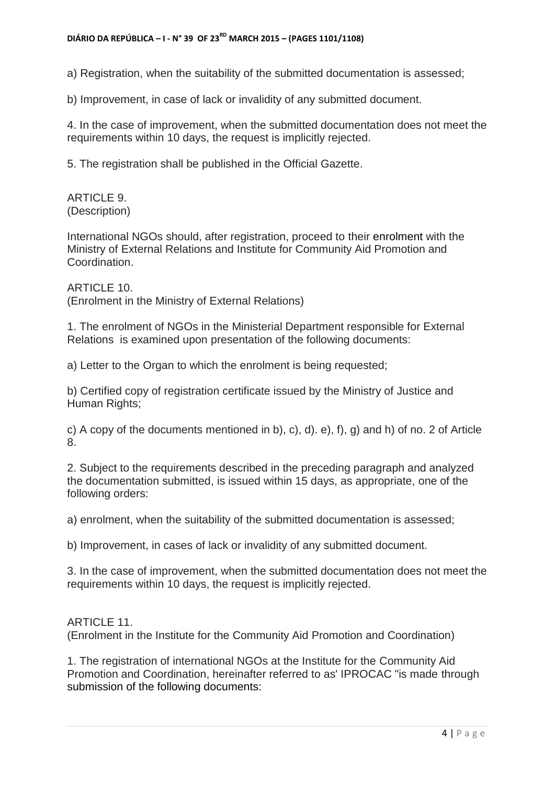a) Registration, when the suitability of the submitted documentation is assessed;

b) Improvement, in case of lack or invalidity of any submitted document.

4. In the case of improvement, when the submitted documentation does not meet the requirements within 10 days, the request is implicitly rejected.

5. The registration shall be published in the Official Gazette.

ARTICLE 9. (Description)

International NGOs should, after registration, proceed to their enrolment with the Ministry of External Relations and Institute for Community Aid Promotion and Coordination.

ARTICLE 10. (Enrolment in the Ministry of External Relations)

1. The enrolment of NGOs in the Ministerial Department responsible for External Relations is examined upon presentation of the following documents:

a) Letter to the Organ to which the enrolment is being requested;

b) Certified copy of registration certificate issued by the Ministry of Justice and Human Rights;

c) A copy of the documents mentioned in b), c), d). e), f), g) and h) of no. 2 of Article 8.

2. Subject to the requirements described in the preceding paragraph and analyzed the documentation submitted, is issued within 15 days, as appropriate, one of the following orders:

a) enrolment, when the suitability of the submitted documentation is assessed;

b) Improvement, in cases of lack or invalidity of any submitted document.

3. In the case of improvement, when the submitted documentation does not meet the requirements within 10 days, the request is implicitly rejected.

#### ARTICLE 11.

(Enrolment in the Institute for the Community Aid Promotion and Coordination)

1. The registration of international NGOs at the Institute for the Community Aid Promotion and Coordination, hereinafter referred to as' IPROCAC "is made through submission of the following documents: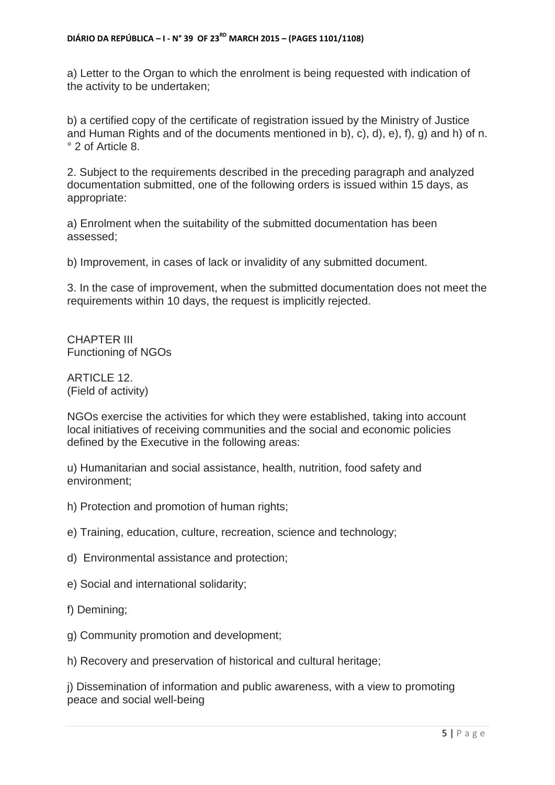a) Letter to the Organ to which the enrolment is being requested with indication of the activity to be undertaken;

b) a certified copy of the certificate of registration issued by the Ministry of Justice and Human Rights and of the documents mentioned in b), c), d), e), f), g) and h) of n. ° 2 of Article 8.

2. Subject to the requirements described in the preceding paragraph and analyzed documentation submitted, one of the following orders is issued within 15 days, as appropriate:

a) Enrolment when the suitability of the submitted documentation has been assessed;

b) Improvement, in cases of lack or invalidity of any submitted document.

3. In the case of improvement, when the submitted documentation does not meet the requirements within 10 days, the request is implicitly rejected.

CHAPTER III Functioning of NGOs

ARTICLE 12. (Field of activity)

NGOs exercise the activities for which they were established, taking into account local initiatives of receiving communities and the social and economic policies defined by the Executive in the following areas:

u) Humanitarian and social assistance, health, nutrition, food safety and environment;

- h) Protection and promotion of human rights;
- e) Training, education, culture, recreation, science and technology;
- d) Environmental assistance and protection;
- e) Social and international solidarity;
- f) Demining;
- g) Community promotion and development;

h) Recovery and preservation of historical and cultural heritage;

j) Dissemination of information and public awareness, with a view to promoting peace and social well-being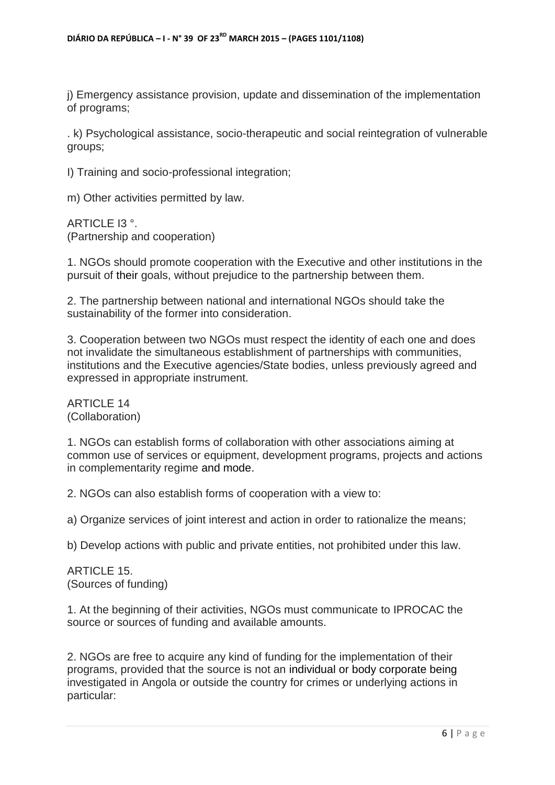j) Emergency assistance provision, update and dissemination of the implementation of programs;

. k) Psychological assistance, socio-therapeutic and social reintegration of vulnerable groups;

I) Training and socio-professional integration;

m) Other activities permitted by law.

ARTICLE I3 °. (Partnership and cooperation)

1. NGOs should promote cooperation with the Executive and other institutions in the pursuit of their goals, without prejudice to the partnership between them.

2. The partnership between national and international NGOs should take the sustainability of the former into consideration.

3. Cooperation between two NGOs must respect the identity of each one and does not invalidate the simultaneous establishment of partnerships with communities, institutions and the Executive agencies/State bodies, unless previously agreed and expressed in appropriate instrument.

ARTICLE 14 (Collaboration)

1. NGOs can establish forms of collaboration with other associations aiming at common use of services or equipment, development programs, projects and actions in complementarity regime and mode.

2. NGOs can also establish forms of cooperation with a view to:

a) Organize services of joint interest and action in order to rationalize the means;

b) Develop actions with public and private entities, not prohibited under this law.

ARTICLE 15 (Sources of funding)

1. At the beginning of their activities, NGOs must communicate to IPROCAC the source or sources of funding and available amounts.

2. NGOs are free to acquire any kind of funding for the implementation of their programs, provided that the source is not an individual or body corporate being investigated in Angola or outside the country for crimes or underlying actions in particular: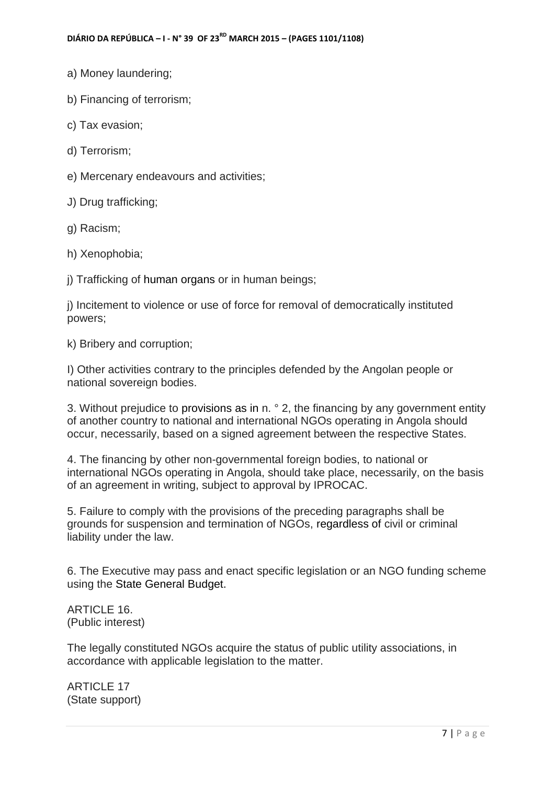- a) Money laundering;
- b) Financing of terrorism;
- c) Tax evasion;
- d) Terrorism;
- e) Mercenary endeavours and activities;
- J) Drug trafficking;
- g) Racism;
- h) Xenophobia;
- j) Trafficking of human organs or in human beings;

j) Incitement to violence or use of force for removal of democratically instituted powers;

k) Bribery and corruption;

I) Other activities contrary to the principles defended by the Angolan people or national sovereign bodies.

3. Without prejudice to provisions as in n. ° 2, the financing by any government entity of another country to national and international NGOs operating in Angola should occur, necessarily, based on a signed agreement between the respective States.

4. The financing by other non-governmental foreign bodies, to national or international NGOs operating in Angola, should take place, necessarily, on the basis of an agreement in writing, subject to approval by IPROCAC.

5. Failure to comply with the provisions of the preceding paragraphs shall be grounds for suspension and termination of NGOs, regardless of civil or criminal liability under the law.

6. The Executive may pass and enact specific legislation or an NGO funding scheme using the State General Budget.

ARTICLE 16. (Public interest)

The legally constituted NGOs acquire the status of public utility associations, in accordance with applicable legislation to the matter.

ARTICLE 17 (State support)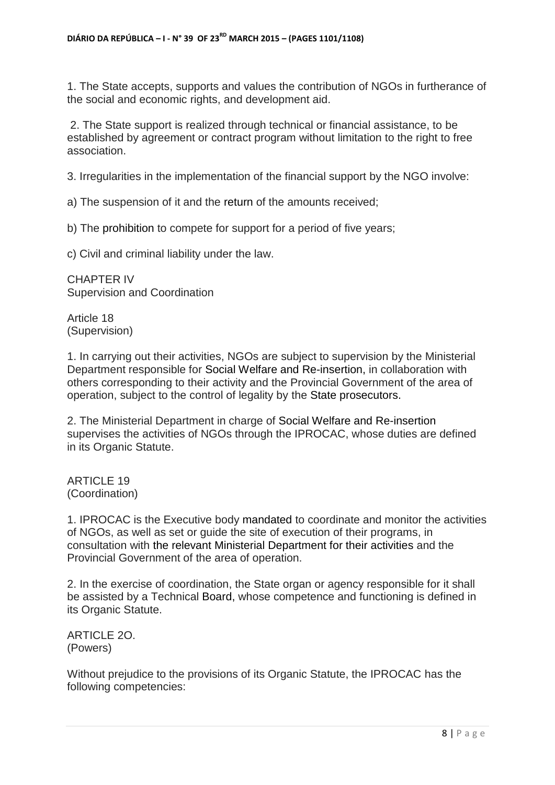1. The State accepts, supports and values the contribution of NGOs in furtherance of the social and economic rights, and development aid.

2. The State support is realized through technical or financial assistance, to be established by agreement or contract program without limitation to the right to free association.

3. Irregularities in the implementation of the financial support by the NGO involve:

a) The suspension of it and the return of the amounts received;

b) The prohibition to compete for support for a period of five years;

c) Civil and criminal liability under the law.

CHAPTER IV Supervision and Coordination

Article 18 (Supervision)

1. In carrying out their activities, NGOs are subject to supervision by the Ministerial Department responsible for Social Welfare and Re-insertion, in collaboration with others corresponding to their activity and the Provincial Government of the area of operation, subject to the control of legality by the State prosecutors.

2. The Ministerial Department in charge of Social Welfare and Re-insertion supervises the activities of NGOs through the IPROCAC, whose duties are defined in its Organic Statute.

ARTICLE 19 (Coordination)

1. IPROCAC is the Executive body mandated to coordinate and monitor the activities of NGOs, as well as set or guide the site of execution of their programs, in consultation with the relevant Ministerial Department for their activities and the Provincial Government of the area of operation.

2. In the exercise of coordination, the State organ or agency responsible for it shall be assisted by a Technical Board, whose competence and functioning is defined in its Organic Statute.

ARTICLE 2O. (Powers)

Without prejudice to the provisions of its Organic Statute, the IPROCAC has the following competencies: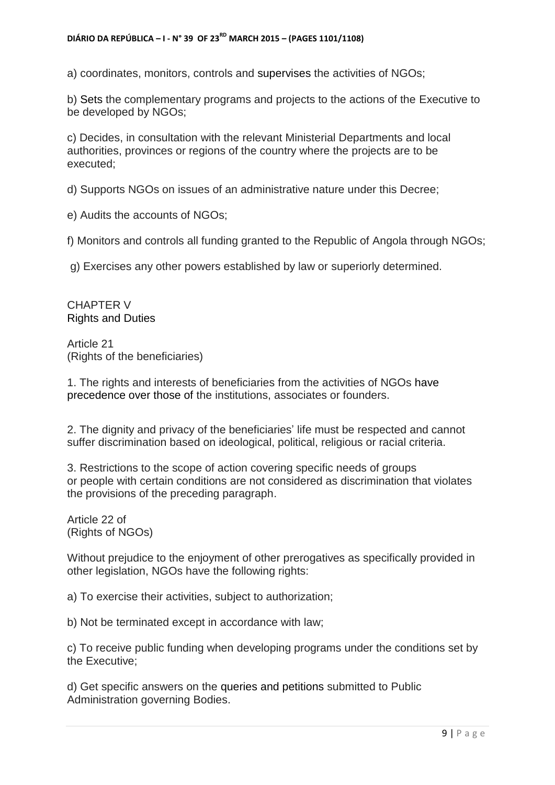a) coordinates, monitors, controls and supervises the activities of NGOs;

b) Sets the complementary programs and projects to the actions of the Executive to be developed by NGOs;

c) Decides, in consultation with the relevant Ministerial Departments and local authorities, provinces or regions of the country where the projects are to be executed;

d) Supports NGOs on issues of an administrative nature under this Decree;

e) Audits the accounts of NGOs;

f) Monitors and controls all funding granted to the Republic of Angola through NGOs;

g) Exercises any other powers established by law or superiorly determined.

CHAPTER V Rights and Duties

Article 21 (Rights of the beneficiaries)

1. The rights and interests of beneficiaries from the activities of NGOs have precedence over those of the institutions, associates or founders.

2. The dignity and privacy of the beneficiaries' life must be respected and cannot suffer discrimination based on ideological, political, religious or racial criteria.

3. Restrictions to the scope of action covering specific needs of groups or people with certain conditions are not considered as discrimination that violates the provisions of the preceding paragraph.

Article 22 of (Rights of NGOs)

Without prejudice to the enjoyment of other prerogatives as specifically provided in other legislation, NGOs have the following rights:

a) To exercise their activities, subject to authorization;

b) Not be terminated except in accordance with law;

c) To receive public funding when developing programs under the conditions set by the Executive;

d) Get specific answers on the queries and petitions submitted to Public Administration governing Bodies.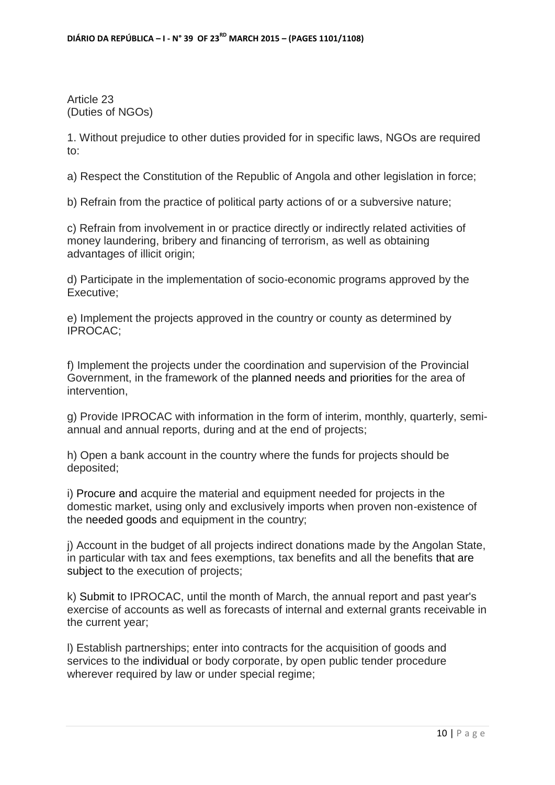Article 23 (Duties of NGOs)

1. Without prejudice to other duties provided for in specific laws, NGOs are required to:

a) Respect the Constitution of the Republic of Angola and other legislation in force;

b) Refrain from the practice of political party actions of or a subversive nature;

c) Refrain from involvement in or practice directly or indirectly related activities of money laundering, bribery and financing of terrorism, as well as obtaining advantages of illicit origin;

d) Participate in the implementation of socio-economic programs approved by the Executive;

e) Implement the projects approved in the country or county as determined by IPROCAC;

f) Implement the projects under the coordination and supervision of the Provincial Government, in the framework of the planned needs and priorities for the area of intervention,

g) Provide IPROCAC with information in the form of interim, monthly, quarterly, semiannual and annual reports, during and at the end of projects;

h) Open a bank account in the country where the funds for projects should be deposited;

i) Procure and acquire the material and equipment needed for projects in the domestic market, using only and exclusively imports when proven non-existence of the needed goods and equipment in the country;

j) Account in the budget of all projects indirect donations made by the Angolan State, in particular with tax and fees exemptions, tax benefits and all the benefits that are subject to the execution of projects;

k) Submit to IPROCAC, until the month of March, the annual report and past year's exercise of accounts as well as forecasts of internal and external grants receivable in the current year;

l) Establish partnerships; enter into contracts for the acquisition of goods and services to the individual or body corporate, by open public tender procedure wherever required by law or under special regime;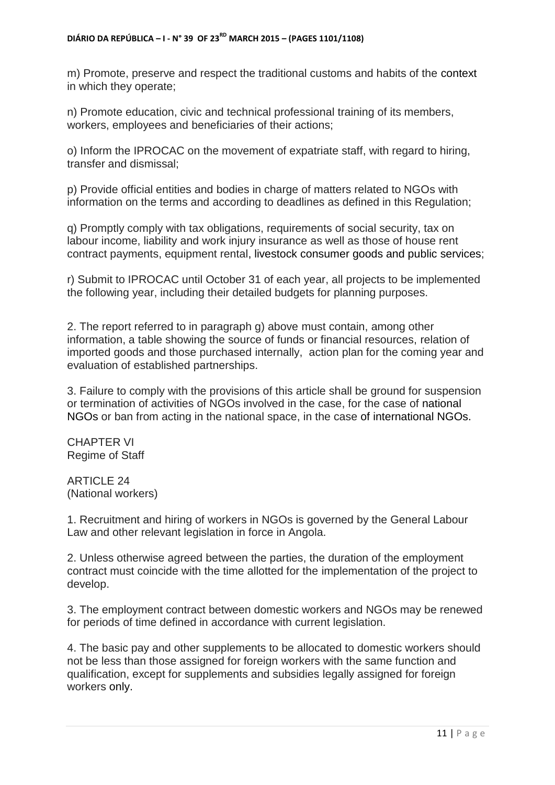m) Promote, preserve and respect the traditional customs and habits of the context in which they operate;

n) Promote education, civic and technical professional training of its members, workers, employees and beneficiaries of their actions;

o) Inform the IPROCAC on the movement of expatriate staff, with regard to hiring, transfer and dismissal;

p) Provide official entities and bodies in charge of matters related to NGOs with information on the terms and according to deadlines as defined in this Regulation;

q) Promptly comply with tax obligations, requirements of social security, tax on labour income, liability and work injury insurance as well as those of house rent contract payments, equipment rental, livestock consumer goods and public services;

r) Submit to IPROCAC until October 31 of each year, all projects to be implemented the following year, including their detailed budgets for planning purposes.

2. The report referred to in paragraph g) above must contain, among other information, a table showing the source of funds or financial resources, relation of imported goods and those purchased internally, action plan for the coming year and evaluation of established partnerships.

3. Failure to comply with the provisions of this article shall be ground for suspension or termination of activities of NGOs involved in the case, for the case of national NGOs or ban from acting in the national space, in the case of international NGOs.

CHAPTER VI Regime of Staff

ARTICLE 24 (National workers)

1. Recruitment and hiring of workers in NGOs is governed by the General Labour Law and other relevant legislation in force in Angola.

2. Unless otherwise agreed between the parties, the duration of the employment contract must coincide with the time allotted for the implementation of the project to develop.

3. The employment contract between domestic workers and NGOs may be renewed for periods of time defined in accordance with current legislation.

4. The basic pay and other supplements to be allocated to domestic workers should not be less than those assigned for foreign workers with the same function and qualification, except for supplements and subsidies legally assigned for foreign workers only.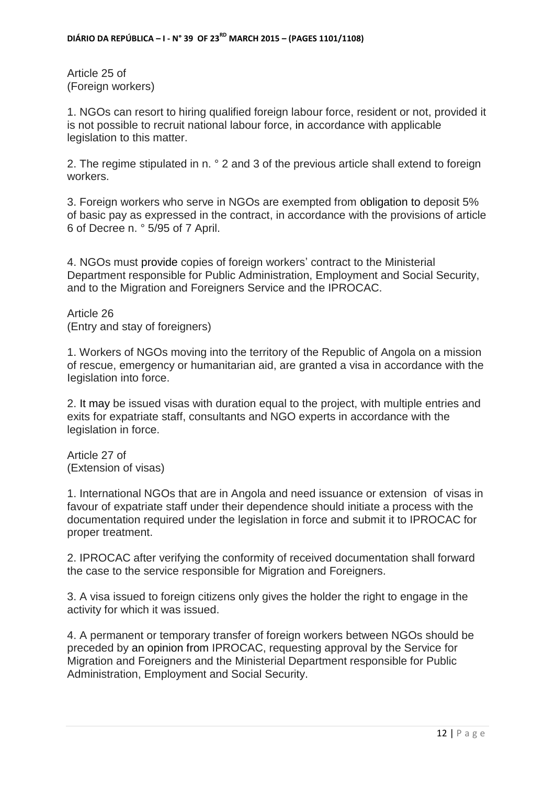Article 25 of (Foreign workers)

1. NGOs can resort to hiring qualified foreign labour force, resident or not, provided it is not possible to recruit national labour force, in accordance with applicable legislation to this matter.

2. The regime stipulated in n. ° 2 and 3 of the previous article shall extend to foreign workers.

3. Foreign workers who serve in NGOs are exempted from obligation to deposit 5% of basic pay as expressed in the contract, in accordance with the provisions of article 6 of Decree n. ° 5/95 of 7 April.

4. NGOs must provide copies of foreign workers' contract to the Ministerial Department responsible for Public Administration, Employment and Social Security, and to the Migration and Foreigners Service and the IPROCAC.

Article 26 (Entry and stay of foreigners)

1. Workers of NGOs moving into the territory of the Republic of Angola on a mission of rescue, emergency or humanitarian aid, are granted a visa in accordance with the Iegislation into force.

2. It may be issued visas with duration equal to the project, with multiple entries and exits for expatriate staff, consultants and NGO experts in accordance with the legislation in force.

Article 27 of (Extension of visas)

1. International NGOs that are in Angola and need issuance or extension of visas in favour of expatriate staff under their dependence should initiate a process with the documentation required under the legislation in force and submit it to IPROCAC for proper treatment.

2. IPROCAC after verifying the conformity of received documentation shall forward the case to the service responsible for Migration and Foreigners.

3. A visa issued to foreign citizens only gives the holder the right to engage in the activity for which it was issued.

4. A permanent or temporary transfer of foreign workers between NGOs should be preceded by an opinion from IPROCAC, requesting approval by the Service for Migration and Foreigners and the Ministerial Department responsible for Public Administration, Employment and Social Security.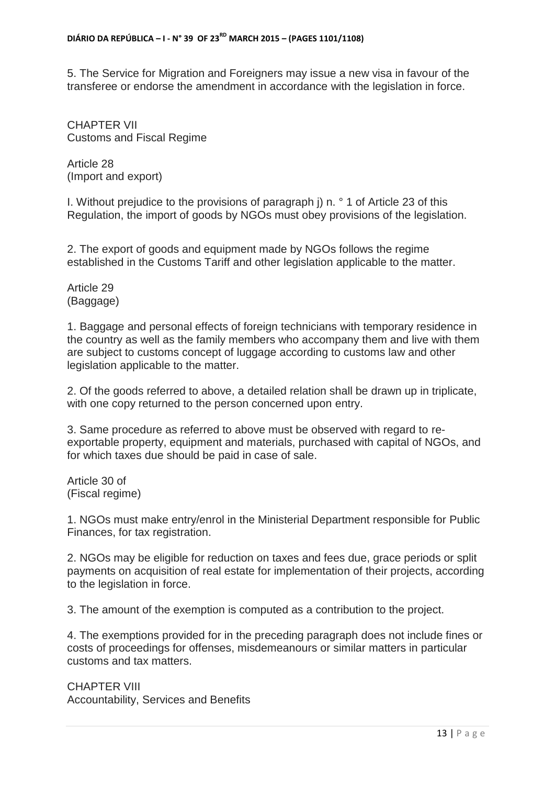5. The Service for Migration and Foreigners may issue a new visa in favour of the transferee or endorse the amendment in accordance with the legislation in force.

CHAPTER VII Customs and Fiscal Regime

Article 28 (Import and export)

I. Without prejudice to the provisions of paragraph j) n. ° 1 of Article 23 of this Regulation, the import of goods by NGOs must obey provisions of the legislation.

2. The export of goods and equipment made by NGOs follows the regime established in the Customs Tariff and other legislation applicable to the matter.

Article 29 (Baggage)

1. Baggage and personal effects of foreign technicians with temporary residence in the country as well as the family members who accompany them and live with them are subject to customs concept of luggage according to customs law and other legislation applicable to the matter.

2. Of the goods referred to above, a detailed relation shall be drawn up in triplicate, with one copy returned to the person concerned upon entry.

3. Same procedure as referred to above must be observed with regard to reexportable property, equipment and materials, purchased with capital of NGOs, and for which taxes due should be paid in case of sale.

Article 30 of (Fiscal regime)

1. NGOs must make entry/enrol in the Ministerial Department responsible for Public Finances, for tax registration.

2. NGOs may be eligible for reduction on taxes and fees due, grace periods or split payments on acquisition of real estate for implementation of their projects, according to the legislation in force.

3. The amount of the exemption is computed as a contribution to the project.

4. The exemptions provided for in the preceding paragraph does not include fines or costs of proceedings for offenses, misdemeanours or similar matters in particular customs and tax matters.

CHAPTER VIII Accountability, Services and Benefits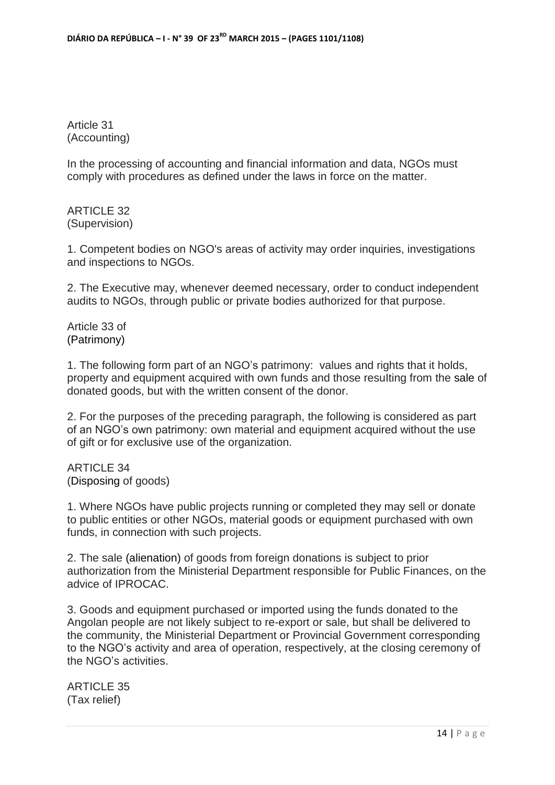Article 31 (Accounting)

In the processing of accounting and financial information and data, NGOs must comply with procedures as defined under the laws in force on the matter.

ARTICLE 32 (Supervision)

1. Competent bodies on NGO's areas of activity may order inquiries, investigations and inspections to NGOs.

2. The Executive may, whenever deemed necessary, order to conduct independent audits to NGOs, through public or private bodies authorized for that purpose.

Article 33 of (Patrimony)

1. The following form part of an NGO's patrimony: values and rights that it holds, property and equipment acquired with own funds and those resulting from the sale of donated goods, but with the written consent of the donor.

2. For the purposes of the preceding paragraph, the following is considered as part of an NGO's own patrimony: own material and equipment acquired without the use of gift or for exclusive use of the organization.

ARTICLE 34 (Disposing of goods)

1. Where NGOs have public projects running or completed they may sell or donate to public entities or other NGOs, material goods or equipment purchased with own funds, in connection with such projects.

2. The sale (alienation) of goods from foreign donations is subject to prior authorization from the Ministerial Department responsible for Public Finances, on the advice of IPROCAC.

3. Goods and equipment purchased or imported using the funds donated to the Angolan people are not likely subject to re-export or sale, but shall be delivered to the community, the Ministerial Department or Provincial Government corresponding to the NGO's activity and area of operation, respectively, at the closing ceremony of the NGO's activities.

ARTICLE 35 (Tax relief)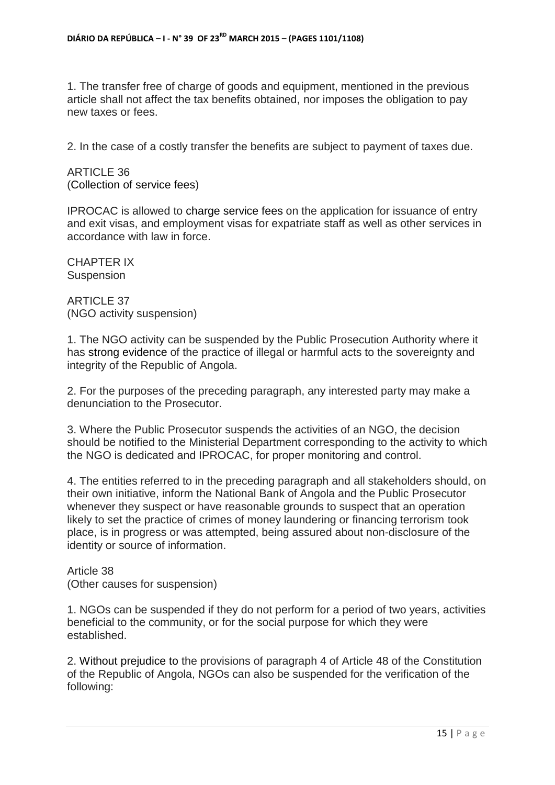1. The transfer free of charge of goods and equipment, mentioned in the previous article shall not affect the tax benefits obtained, nor imposes the obligation to pay new taxes or fees.

2. In the case of a costly transfer the benefits are subject to payment of taxes due.

ARTICLE 36 (Collection of service fees)

IPROCAC is allowed to charge service fees on the application for issuance of entry and exit visas, and employment visas for expatriate staff as well as other services in accordance with law in force.

CHAPTER IX **Suspension** 

ARTICLE 37 (NGO activity suspension)

1. The NGO activity can be suspended by the Public Prosecution Authority where it has strong evidence of the practice of illegal or harmful acts to the sovereignty and integrity of the Republic of Angola.

2. For the purposes of the preceding paragraph, any interested party may make a denunciation to the Prosecutor.

3. Where the Public Prosecutor suspends the activities of an NGO, the decision should be notified to the Ministerial Department corresponding to the activity to which the NGO is dedicated and IPROCAC, for proper monitoring and control.

4. The entities referred to in the preceding paragraph and all stakeholders should, on their own initiative, inform the National Bank of Angola and the Public Prosecutor whenever they suspect or have reasonable grounds to suspect that an operation likely to set the practice of crimes of money laundering or financing terrorism took place, is in progress or was attempted, being assured about non-disclosure of the identity or source of information.

Article 38 (Other causes for suspension)

1. NGOs can be suspended if they do not perform for a period of two years, activities beneficial to the community, or for the social purpose for which they were established.

2. Without prejudice to the provisions of paragraph 4 of Article 48 of the Constitution of the Republic of Angola, NGOs can also be suspended for the verification of the following: